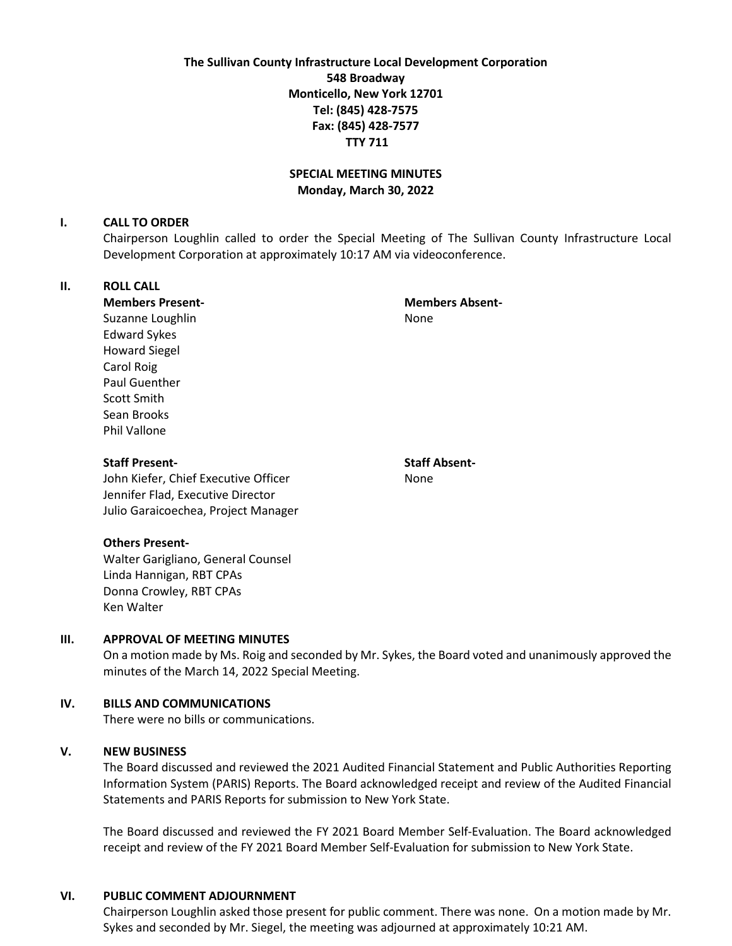**The Sullivan County Infrastructure Local Development Corporation 548 Broadway Monticello, New York 12701 Tel: (845) 428-7575 Fax: (845) 428-7577 TTY 711**

## **SPECIAL MEETING MINUTES Monday, March 30, 2022**

#### **I. CALL TO ORDER**

Chairperson Loughlin called to order the Special Meeting of The Sullivan County Infrastructure Local Development Corporation at approximately 10:17 AM via videoconference.

## **II. ROLL CALL**

**Members Present- Members Absent-**

Suzanne Loughlin None Edward Sykes Howard Siegel Carol Roig Paul Guenther Scott Smith Sean Brooks Phil Vallone

# **Staff Present- Staff Absent-**

John Kiefer, Chief Executive Officer None Jennifer Flad, Executive Director Julio Garaicoechea, Project Manager

#### **Others Present-**

Walter Garigliano, General Counsel Linda Hannigan, RBT CPAs Donna Crowley, RBT CPAs Ken Walter

#### **III. APPROVAL OF MEETING MINUTES**

On a motion made by Ms. Roig and seconded by Mr. Sykes, the Board voted and unanimously approved the minutes of the March 14, 2022 Special Meeting.

### **IV. BILLS AND COMMUNICATIONS**

There were no bills or communications.

### **V. NEW BUSINESS**

The Board discussed and reviewed the 2021 Audited Financial Statement and Public Authorities Reporting Information System (PARIS) Reports. The Board acknowledged receipt and review of the Audited Financial Statements and PARIS Reports for submission to New York State.

The Board discussed and reviewed the FY 2021 Board Member Self-Evaluation. The Board acknowledged receipt and review of the FY 2021 Board Member Self-Evaluation for submission to New York State.

#### **VI. PUBLIC COMMENT ADJOURNMENT**

Chairperson Loughlin asked those present for public comment. There was none. On a motion made by Mr. Sykes and seconded by Mr. Siegel, the meeting was adjourned at approximately 10:21 AM.